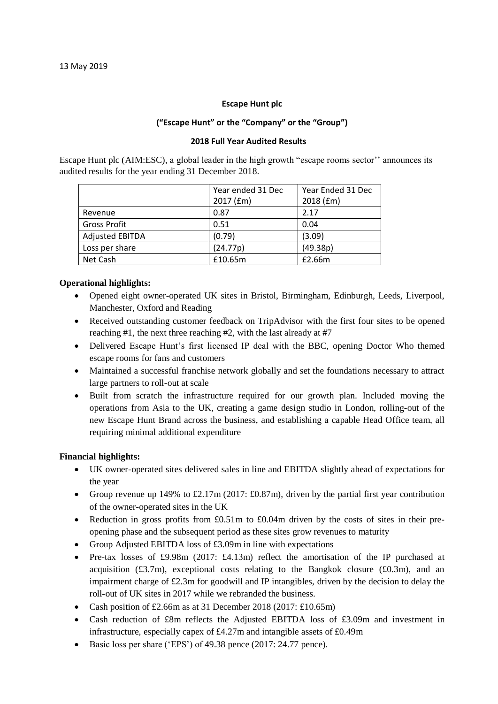### **Escape Hunt plc**

### **("Escape Hunt" or the "Company" or the "Group")**

#### **2018 Full Year Audited Results**

Escape Hunt plc (AIM:ESC), a global leader in the high growth "escape rooms sector'' announces its audited results for the year ending 31 December 2018.

|                        | Year ended 31 Dec<br>2017 (£m) | Year Ended 31 Dec<br>2018 (£m) |
|------------------------|--------------------------------|--------------------------------|
| Revenue                | 0.87                           | 2.17                           |
| <b>Gross Profit</b>    | 0.51                           | 0.04                           |
| <b>Adjusted EBITDA</b> | (0.79)                         | (3.09)                         |
| Loss per share         | (24.77p)                       | (49.38p)                       |
| Net Cash               | £10.65m                        | £2.66m                         |

### **Operational highlights:**

- Opened eight owner-operated UK sites in Bristol, Birmingham, Edinburgh, Leeds, Liverpool, Manchester, Oxford and Reading
- Received outstanding customer feedback on TripAdvisor with the first four sites to be opened reaching #1, the next three reaching #2, with the last already at #7
- Delivered Escape Hunt's first licensed IP deal with the BBC, opening Doctor Who themed escape rooms for fans and customers
- Maintained a successful franchise network globally and set the foundations necessary to attract large partners to roll-out at scale
- Built from scratch the infrastructure required for our growth plan. Included moving the operations from Asia to the UK, creating a game design studio in London, rolling-out of the new Escape Hunt Brand across the business, and establishing a capable Head Office team, all requiring minimal additional expenditure

### **Financial highlights:**

- UK owner-operated sites delivered sales in line and EBITDA slightly ahead of expectations for the year
- Group revenue up 149% to £2.17m (2017: £0.87m), driven by the partial first year contribution of the owner-operated sites in the UK
- Reduction in gross profits from £0.51m to £0.04m driven by the costs of sites in their preopening phase and the subsequent period as these sites grow revenues to maturity
- Group Adjusted EBITDA loss of £3.09m in line with expectations
- Pre-tax losses of £9.98m (2017: £4.13m) reflect the amortisation of the IP purchased at acquisition  $(\text{\textsterling}3.7m)$ , exceptional costs relating to the Bangkok closure  $(\text{\textsterling}0.3m)$ , and an impairment charge of £2.3m for goodwill and IP intangibles, driven by the decision to delay the roll-out of UK sites in 2017 while we rebranded the business.
- Cash position of £2.66m as at 31 December 2018 (2017: £10.65m)
- Cash reduction of £8m reflects the Adjusted EBITDA loss of £3.09m and investment in infrastructure, especially capex of £4.27m and intangible assets of £0.49m
- Basic loss per share ('EPS') of 49.38 pence (2017: 24.77 pence).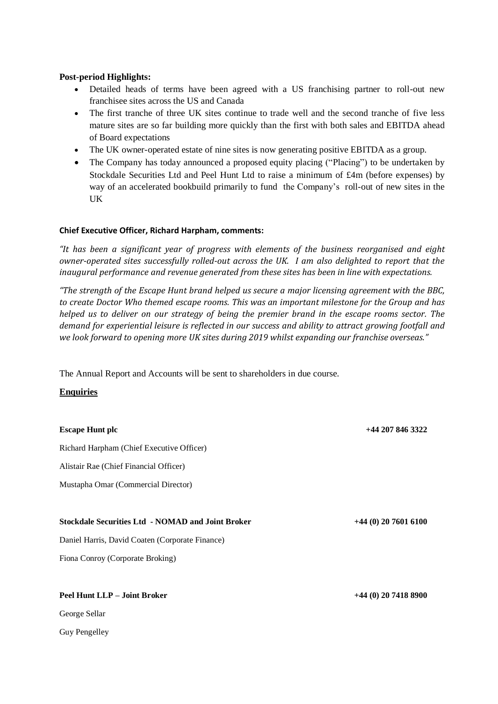### **Post-period Highlights:**

- Detailed heads of terms have been agreed with a US franchising partner to roll-out new franchisee sites across the US and Canada
- The first tranche of three UK sites continue to trade well and the second tranche of five less mature sites are so far building more quickly than the first with both sales and EBITDA ahead of Board expectations
- The UK owner-operated estate of nine sites is now generating positive EBITDA as a group.
- The Company has today announced a proposed equity placing ("Placing") to be undertaken by Stockdale Securities Ltd and Peel Hunt Ltd to raise a minimum of £4m (before expenses) by way of an accelerated bookbuild primarily to fund the Company's roll-out of new sites in the UK

### **Chief Executive Officer, Richard Harpham, comments:**

*"It has been a significant year of progress with elements of the business reorganised and eight owner-operated sites successfully rolled-out across the UK. I am also delighted to report that the inaugural performance and revenue generated from these sites has been in line with expectations.*

*"The strength of the Escape Hunt brand helped us secure a major licensing agreement with the BBC, to create Doctor Who themed escape rooms. This was an important milestone for the Group and has helped us to deliver on our strategy of being the premier brand in the escape rooms sector. The demand for experiential leisure is reflected in our success and ability to attract growing footfall and we look forward to opening more UK sites during 2019 whilst expanding our franchise overseas."* 

The Annual Report and Accounts will be sent to shareholders in due course.

### **Enquiries**

| <b>Escape Hunt plc</b>                                   | $+44$ 207 846 3322     |
|----------------------------------------------------------|------------------------|
| Richard Harpham (Chief Executive Officer)                |                        |
| Alistair Rae (Chief Financial Officer)                   |                        |
| Mustapha Omar (Commercial Director)                      |                        |
|                                                          |                        |
| <b>Stockdale Securities Ltd - NOMAD and Joint Broker</b> | $+44$ (0) 20 7601 6100 |
| Daniel Harris, David Coaten (Corporate Finance)          |                        |
| Fiona Conroy (Corporate Broking)                         |                        |
|                                                          |                        |
| <b>Peel Hunt LLP - Joint Broker</b>                      | $+44$ (0) 20 7418 8900 |
| George Sellar                                            |                        |
| Guy Pengelley                                            |                        |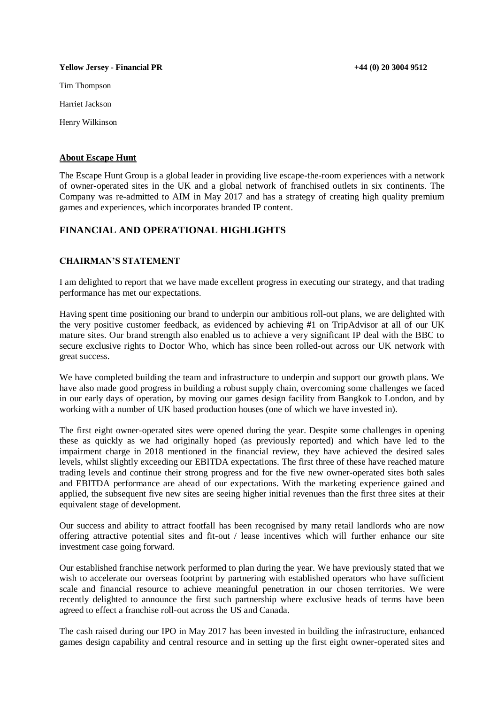#### **+44 (0) 20 3004 9512**

#### **Yellow Jersey - Financial PR**

Tim Thompson

Harriet Jackson

Henry Wilkinson

### **About Escape Hunt**

The Escape Hunt Group is a global leader in providing live escape-the-room experiences with a network of owner-operated sites in the UK and a global network of franchised outlets in six continents. The Company was re-admitted to AIM in May 2017 and has a strategy of creating high quality premium games and experiences, which incorporates branded IP content.

### **FINANCIAL AND OPERATIONAL HIGHLIGHTS**

### **CHAIRMAN'S STATEMENT**

I am delighted to report that we have made excellent progress in executing our strategy, and that trading performance has met our expectations.

Having spent time positioning our brand to underpin our ambitious roll-out plans, we are delighted with the very positive customer feedback, as evidenced by achieving #1 on TripAdvisor at all of our UK mature sites. Our brand strength also enabled us to achieve a very significant IP deal with the BBC to secure exclusive rights to Doctor Who, which has since been rolled-out across our UK network with great success.

We have completed building the team and infrastructure to underpin and support our growth plans. We have also made good progress in building a robust supply chain, overcoming some challenges we faced in our early days of operation, by moving our games design facility from Bangkok to London, and by working with a number of UK based production houses (one of which we have invested in).

The first eight owner-operated sites were opened during the year. Despite some challenges in opening these as quickly as we had originally hoped (as previously reported) and which have led to the impairment charge in 2018 mentioned in the financial review, they have achieved the desired sales levels, whilst slightly exceeding our EBITDA expectations. The first three of these have reached mature trading levels and continue their strong progress and for the five new owner-operated sites both sales and EBITDA performance are ahead of our expectations. With the marketing experience gained and applied, the subsequent five new sites are seeing higher initial revenues than the first three sites at their equivalent stage of development.

Our success and ability to attract footfall has been recognised by many retail landlords who are now offering attractive potential sites and fit-out / lease incentives which will further enhance our site investment case going forward.

Our established franchise network performed to plan during the year. We have previously stated that we wish to accelerate our overseas footprint by partnering with established operators who have sufficient scale and financial resource to achieve meaningful penetration in our chosen territories. We were recently delighted to announce the first such partnership where exclusive heads of terms have been agreed to effect a franchise roll-out across the US and Canada.

The cash raised during our IPO in May 2017 has been invested in building the infrastructure, enhanced games design capability and central resource and in setting up the first eight owner-operated sites and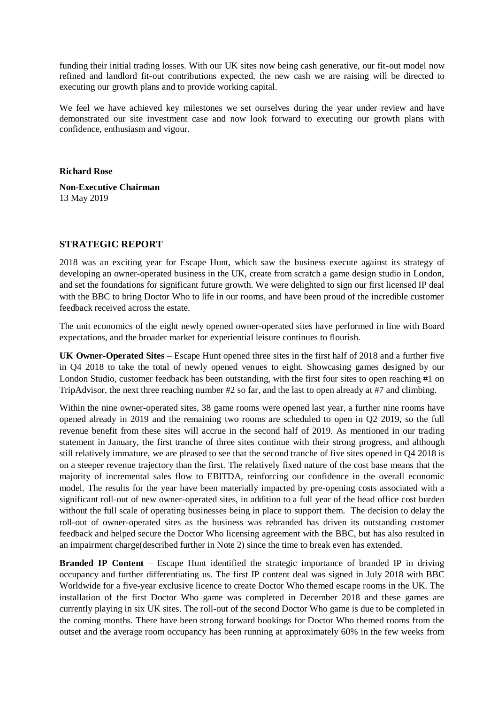funding their initial trading losses. With our UK sites now being cash generative, our fit-out model now refined and landlord fit-out contributions expected, the new cash we are raising will be directed to executing our growth plans and to provide working capital.

We feel we have achieved key milestones we set ourselves during the year under review and have demonstrated our site investment case and now look forward to executing our growth plans with confidence, enthusiasm and vigour.

**Richard Rose**

**Non-Executive Chairman** 13 May 2019

### **STRATEGIC REPORT**

2018 was an exciting year for Escape Hunt, which saw the business execute against its strategy of developing an owner-operated business in the UK, create from scratch a game design studio in London, and set the foundations for significant future growth. We were delighted to sign our first licensed IP deal with the BBC to bring Doctor Who to life in our rooms, and have been proud of the incredible customer feedback received across the estate.

The unit economics of the eight newly opened owner-operated sites have performed in line with Board expectations, and the broader market for experiential leisure continues to flourish.

**UK Owner-Operated Sites** – Escape Hunt opened three sites in the first half of 2018 and a further five in Q4 2018 to take the total of newly opened venues to eight. Showcasing games designed by our London Studio, customer feedback has been outstanding, with the first four sites to open reaching #1 on TripAdvisor, the next three reaching number #2 so far, and the last to open already at #7 and climbing.

Within the nine owner-operated sites, 38 game rooms were opened last year, a further nine rooms have opened already in 2019 and the remaining two rooms are scheduled to open in Q2 2019, so the full revenue benefit from these sites will accrue in the second half of 2019. As mentioned in our trading statement in January, the first tranche of three sites continue with their strong progress, and although still relatively immature, we are pleased to see that the second tranche of five sites opened in Q4 2018 is on a steeper revenue trajectory than the first. The relatively fixed nature of the cost base means that the majority of incremental sales flow to EBITDA, reinforcing our confidence in the overall economic model. The results for the year have been materially impacted by pre-opening costs associated with a significant roll-out of new owner-operated sites, in addition to a full year of the head office cost burden without the full scale of operating businesses being in place to support them. The decision to delay the roll-out of owner-operated sites as the business was rebranded has driven its outstanding customer feedback and helped secure the Doctor Who licensing agreement with the BBC, but has also resulted in an impairment charge(described further in Note 2) since the time to break even has extended.

**Branded IP Content** – Escape Hunt identified the strategic importance of branded IP in driving occupancy and further differentiating us. The first IP content deal was signed in July 2018 with BBC Worldwide for a five-year exclusive licence to create Doctor Who themed escape rooms in the UK. The installation of the first Doctor Who game was completed in December 2018 and these games are currently playing in six UK sites. The roll-out of the second Doctor Who game is due to be completed in the coming months. There have been strong forward bookings for Doctor Who themed rooms from the outset and the average room occupancy has been running at approximately 60% in the few weeks from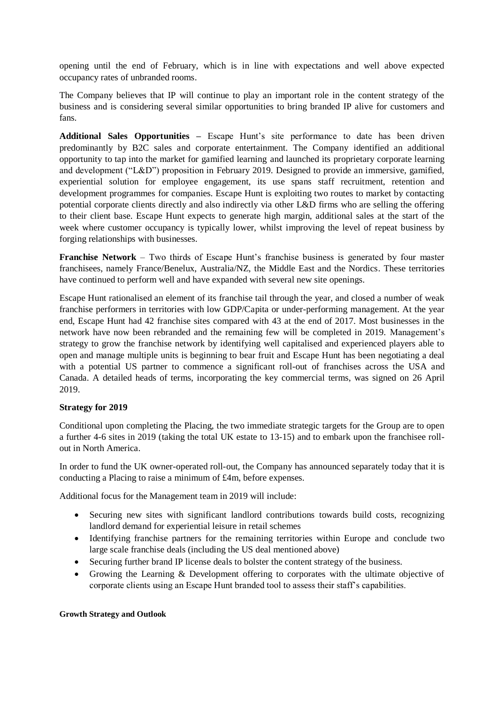opening until the end of February, which is in line with expectations and well above expected occupancy rates of unbranded rooms.

The Company believes that IP will continue to play an important role in the content strategy of the business and is considering several similar opportunities to bring branded IP alive for customers and fans.

**Additional Sales Opportunities –** Escape Hunt's site performance to date has been driven predominantly by B2C sales and corporate entertainment. The Company identified an additional opportunity to tap into the market for gamified learning and launched its proprietary corporate learning and development ("L&D") proposition in February 2019. Designed to provide an immersive, gamified, experiential solution for employee engagement, its use spans staff recruitment, retention and development programmes for companies. Escape Hunt is exploiting two routes to market by contacting potential corporate clients directly and also indirectly via other L&D firms who are selling the offering to their client base. Escape Hunt expects to generate high margin, additional sales at the start of the week where customer occupancy is typically lower, whilst improving the level of repeat business by forging relationships with businesses.

**Franchise Network** – Two thirds of Escape Hunt's franchise business is generated by four master franchisees, namely France/Benelux, Australia/NZ, the Middle East and the Nordics. These territories have continued to perform well and have expanded with several new site openings.

Escape Hunt rationalised an element of its franchise tail through the year, and closed a number of weak franchise performers in territories with low GDP/Capita or under-performing management. At the year end, Escape Hunt had 42 franchise sites compared with 43 at the end of 2017. Most businesses in the network have now been rebranded and the remaining few will be completed in 2019. Management's strategy to grow the franchise network by identifying well capitalised and experienced players able to open and manage multiple units is beginning to bear fruit and Escape Hunt has been negotiating a deal with a potential US partner to commence a significant roll-out of franchises across the USA and Canada. A detailed heads of terms, incorporating the key commercial terms, was signed on 26 April 2019.

### **Strategy for 2019**

Conditional upon completing the Placing, the two immediate strategic targets for the Group are to open a further 4-6 sites in 2019 (taking the total UK estate to 13-15) and to embark upon the franchisee rollout in North America.

In order to fund the UK owner-operated roll-out, the Company has announced separately today that it is conducting a Placing to raise a minimum of £4m, before expenses.

Additional focus for the Management team in 2019 will include:

- Securing new sites with significant landlord contributions towards build costs, recognizing landlord demand for experiential leisure in retail schemes
- Identifying franchise partners for the remaining territories within Europe and conclude two large scale franchise deals (including the US deal mentioned above)
- Securing further brand IP license deals to bolster the content strategy of the business.
- Growing the Learning & Development offering to corporates with the ultimate objective of corporate clients using an Escape Hunt branded tool to assess their staff's capabilities.

#### **Growth Strategy and Outlook**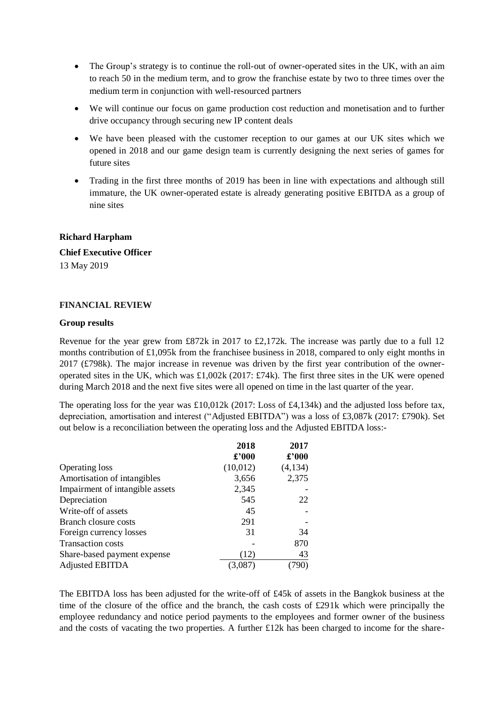- The Group's strategy is to continue the roll-out of owner-operated sites in the UK, with an aim to reach 50 in the medium term, and to grow the franchise estate by two to three times over the medium term in conjunction with well-resourced partners
- We will continue our focus on game production cost reduction and monetisation and to further drive occupancy through securing new IP content deals
- We have been pleased with the customer reception to our games at our UK sites which we opened in 2018 and our game design team is currently designing the next series of games for future sites
- Trading in the first three months of 2019 has been in line with expectations and although still immature, the UK owner-operated estate is already generating positive EBITDA as a group of nine sites

### **Richard Harpham**

# **Chief Executive Officer**

13 May 2019

### **FINANCIAL REVIEW**

### **Group results**

Revenue for the year grew from £872k in 2017 to £2,172k. The increase was partly due to a full 12 months contribution of £1,095k from the franchisee business in 2018, compared to only eight months in 2017 (£798k). The major increase in revenue was driven by the first year contribution of the owneroperated sites in the UK, which was £1,002k (2017: £74k). The first three sites in the UK were opened during March 2018 and the next five sites were all opened on time in the last quarter of the year.

The operating loss for the year was £10,012k (2017: Loss of £4,134k) and the adjusted loss before tax, depreciation, amortisation and interest ("Adjusted EBITDA") was a loss of £3,087k (2017: £790k). Set out below is a reconciliation between the operating loss and the Adjusted EBITDA loss:-

|                                 | 2018          | 2017          |
|---------------------------------|---------------|---------------|
|                                 | $\pounds 000$ | $\pounds 000$ |
| <b>Operating loss</b>           | (10,012)      | (4,134)       |
| Amortisation of intangibles     | 3,656         | 2,375         |
| Impairment of intangible assets | 2,345         |               |
| Depreciation                    | 545           | 22            |
| Write-off of assets             | 45            |               |
| Branch closure costs            | 291           |               |
| Foreign currency losses         | 31            | 34            |
| <b>Transaction costs</b>        |               | 870           |
| Share-based payment expense     | (12)          | 43            |
| <b>Adjusted EBITDA</b>          | (3.087)       |               |

The EBITDA loss has been adjusted for the write-off of £45k of assets in the Bangkok business at the time of the closure of the office and the branch, the cash costs of £291k which were principally the employee redundancy and notice period payments to the employees and former owner of the business and the costs of vacating the two properties. A further £12k has been charged to income for the share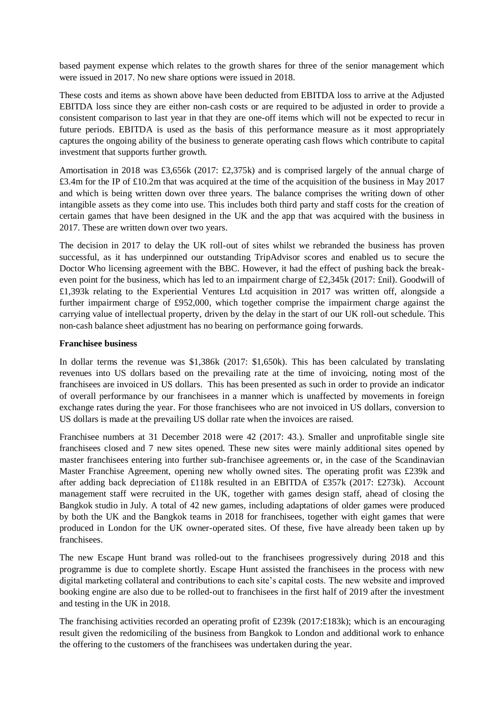based payment expense which relates to the growth shares for three of the senior management which were issued in 2017. No new share options were issued in 2018.

These costs and items as shown above have been deducted from EBITDA loss to arrive at the Adjusted EBITDA loss since they are either non-cash costs or are required to be adjusted in order to provide a consistent comparison to last year in that they are one-off items which will not be expected to recur in future periods. EBITDA is used as the basis of this performance measure as it most appropriately captures the ongoing ability of the business to generate operating cash flows which contribute to capital investment that supports further growth.

Amortisation in 2018 was £3,656k (2017: £2,375k) and is comprised largely of the annual charge of £3.4m for the IP of £10.2m that was acquired at the time of the acquisition of the business in May 2017 and which is being written down over three years. The balance comprises the writing down of other intangible assets as they come into use. This includes both third party and staff costs for the creation of certain games that have been designed in the UK and the app that was acquired with the business in 2017. These are written down over two years.

The decision in 2017 to delay the UK roll-out of sites whilst we rebranded the business has proven successful, as it has underpinned our outstanding TripAdvisor scores and enabled us to secure the Doctor Who licensing agreement with the BBC. However, it had the effect of pushing back the breakeven point for the business, which has led to an impairment charge of £2,345k (2017: £nil). Goodwill of £1,393k relating to the Experiential Ventures Ltd acquisition in 2017 was written off, alongside a further impairment charge of £952,000, which together comprise the impairment charge against the carrying value of intellectual property, driven by the delay in the start of our UK roll-out schedule. This non-cash balance sheet adjustment has no bearing on performance going forwards.

### **Franchisee business**

In dollar terms the revenue was \$1,386k (2017: \$1,650k). This has been calculated by translating revenues into US dollars based on the prevailing rate at the time of invoicing, noting most of the franchisees are invoiced in US dollars. This has been presented as such in order to provide an indicator of overall performance by our franchisees in a manner which is unaffected by movements in foreign exchange rates during the year. For those franchisees who are not invoiced in US dollars, conversion to US dollars is made at the prevailing US dollar rate when the invoices are raised.

Franchisee numbers at 31 December 2018 were 42 (2017: 43.). Smaller and unprofitable single site franchisees closed and 7 new sites opened. These new sites were mainly additional sites opened by master franchisees entering into further sub-franchisee agreements or, in the case of the Scandinavian Master Franchise Agreement, opening new wholly owned sites. The operating profit was £239k and after adding back depreciation of £118k resulted in an EBITDA of £357k (2017: £273k). Account management staff were recruited in the UK, together with games design staff, ahead of closing the Bangkok studio in July. A total of 42 new games, including adaptations of older games were produced by both the UK and the Bangkok teams in 2018 for franchisees, together with eight games that were produced in London for the UK owner-operated sites. Of these, five have already been taken up by franchisees.

The new Escape Hunt brand was rolled-out to the franchisees progressively during 2018 and this programme is due to complete shortly. Escape Hunt assisted the franchisees in the process with new digital marketing collateral and contributions to each site's capital costs. The new website and improved booking engine are also due to be rolled-out to franchisees in the first half of 2019 after the investment and testing in the UK in 2018.

The franchising activities recorded an operating profit of £239k (2017:£183k); which is an encouraging result given the redomiciling of the business from Bangkok to London and additional work to enhance the offering to the customers of the franchisees was undertaken during the year.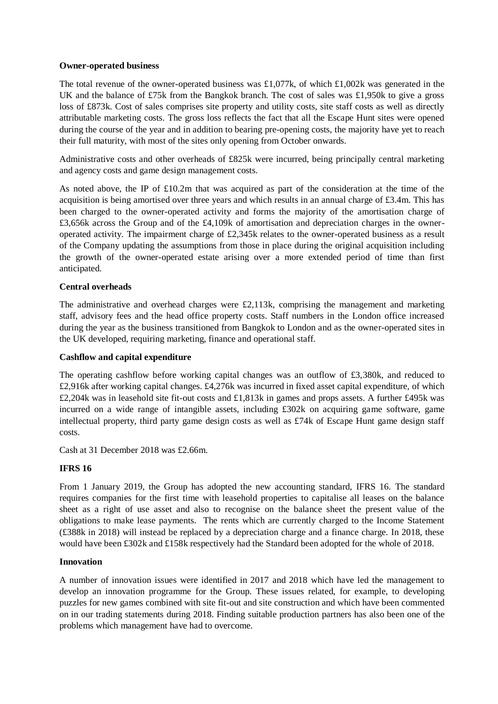### **Owner-operated business**

The total revenue of the owner-operated business was £1,077k, of which £1,002k was generated in the UK and the balance of £75k from the Bangkok branch. The cost of sales was £1,950k to give a gross loss of £873k. Cost of sales comprises site property and utility costs, site staff costs as well as directly attributable marketing costs. The gross loss reflects the fact that all the Escape Hunt sites were opened during the course of the year and in addition to bearing pre-opening costs, the majority have yet to reach their full maturity, with most of the sites only opening from October onwards.

Administrative costs and other overheads of £825k were incurred, being principally central marketing and agency costs and game design management costs.

As noted above, the IP of  $\text{\pounds}10.2m$  that was acquired as part of the consideration at the time of the acquisition is being amortised over three years and which results in an annual charge of £3.4m. This has been charged to the owner-operated activity and forms the majority of the amortisation charge of £3,656k across the Group and of the £4,109k of amortisation and depreciation charges in the owneroperated activity. The impairment charge of £2,345k relates to the owner-operated business as a result of the Company updating the assumptions from those in place during the original acquisition including the growth of the owner-operated estate arising over a more extended period of time than first anticipated.

### **Central overheads**

The administrative and overhead charges were  $\text{\pounds}2,113k$ , comprising the management and marketing staff, advisory fees and the head office property costs. Staff numbers in the London office increased during the year as the business transitioned from Bangkok to London and as the owner-operated sites in the UK developed, requiring marketing, finance and operational staff.

### **Cashflow and capital expenditure**

The operating cashflow before working capital changes was an outflow of £3,380k, and reduced to £2,916k after working capital changes. £4,276k was incurred in fixed asset capital expenditure, of which £2,204k was in leasehold site fit-out costs and £1,813k in games and props assets. A further £495k was incurred on a wide range of intangible assets, including £302k on acquiring game software, game intellectual property, third party game design costs as well as £74k of Escape Hunt game design staff costs.

Cash at 31 December 2018 was £2.66m.

### **IFRS 16**

From 1 January 2019, the Group has adopted the new accounting standard, IFRS 16. The standard requires companies for the first time with leasehold properties to capitalise all leases on the balance sheet as a right of use asset and also to recognise on the balance sheet the present value of the obligations to make lease payments. The rents which are currently charged to the Income Statement (£388k in 2018) will instead be replaced by a depreciation charge and a finance charge. In 2018, these would have been £302k and £158k respectively had the Standard been adopted for the whole of 2018.

### **Innovation**

A number of innovation issues were identified in 2017 and 2018 which have led the management to develop an innovation programme for the Group. These issues related, for example, to developing puzzles for new games combined with site fit-out and site construction and which have been commented on in our trading statements during 2018. Finding suitable production partners has also been one of the problems which management have had to overcome.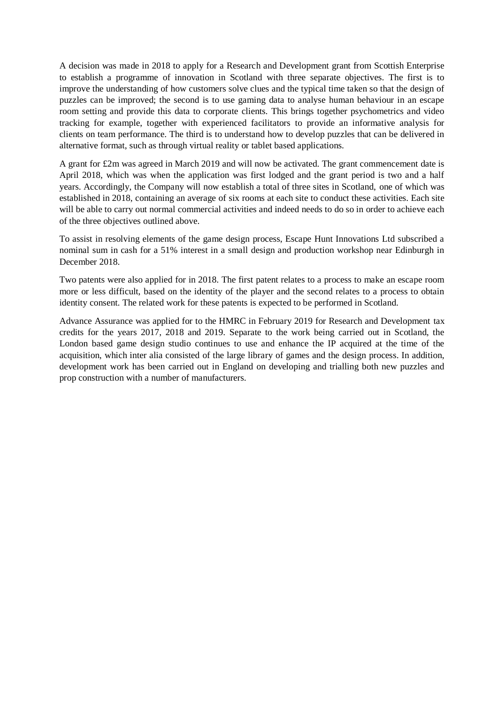A decision was made in 2018 to apply for a Research and Development grant from Scottish Enterprise to establish a programme of innovation in Scotland with three separate objectives. The first is to improve the understanding of how customers solve clues and the typical time taken so that the design of puzzles can be improved; the second is to use gaming data to analyse human behaviour in an escape room setting and provide this data to corporate clients. This brings together psychometrics and video tracking for example, together with experienced facilitators to provide an informative analysis for clients on team performance. The third is to understand how to develop puzzles that can be delivered in alternative format, such as through virtual reality or tablet based applications.

A grant for £2m was agreed in March 2019 and will now be activated. The grant commencement date is April 2018, which was when the application was first lodged and the grant period is two and a half years. Accordingly, the Company will now establish a total of three sites in Scotland, one of which was established in 2018, containing an average of six rooms at each site to conduct these activities. Each site will be able to carry out normal commercial activities and indeed needs to do so in order to achieve each of the three objectives outlined above.

To assist in resolving elements of the game design process, Escape Hunt Innovations Ltd subscribed a nominal sum in cash for a 51% interest in a small design and production workshop near Edinburgh in December 2018.

Two patents were also applied for in 2018. The first patent relates to a process to make an escape room more or less difficult, based on the identity of the player and the second relates to a process to obtain identity consent. The related work for these patents is expected to be performed in Scotland.

Advance Assurance was applied for to the HMRC in February 2019 for Research and Development tax credits for the years 2017, 2018 and 2019. Separate to the work being carried out in Scotland, the London based game design studio continues to use and enhance the IP acquired at the time of the acquisition, which inter alia consisted of the large library of games and the design process. In addition, development work has been carried out in England on developing and trialling both new puzzles and prop construction with a number of manufacturers.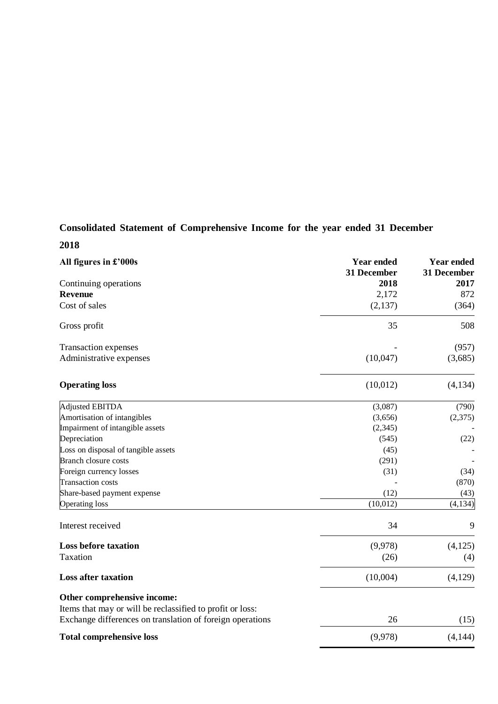# **Consolidated Statement of Comprehensive Income for the year ended 31 December**

**2018**

| All figures in £'000s                                                                                                  | <b>Year ended</b><br>31 December | <b>Year ended</b><br>31 December |
|------------------------------------------------------------------------------------------------------------------------|----------------------------------|----------------------------------|
| Continuing operations                                                                                                  | 2018                             | 2017                             |
| <b>Revenue</b>                                                                                                         | 2,172                            | 872                              |
| Cost of sales                                                                                                          | (2,137)                          | (364)                            |
| Gross profit                                                                                                           | 35                               | 508                              |
| Transaction expenses                                                                                                   |                                  | (957)                            |
| Administrative expenses                                                                                                | (10,047)                         | (3,685)                          |
| <b>Operating loss</b>                                                                                                  | (10,012)                         | (4,134)                          |
| Adjusted EBITDA                                                                                                        | (3,087)                          | (790)                            |
| Amortisation of intangibles                                                                                            | (3,656)                          | (2,375)                          |
| Impairment of intangible assets                                                                                        | (2, 345)                         |                                  |
| Depreciation                                                                                                           | (545)                            | (22)                             |
| Loss on disposal of tangible assets                                                                                    | (45)                             |                                  |
| <b>Branch closure costs</b>                                                                                            | (291)                            |                                  |
| Foreign currency losses                                                                                                | (31)                             | (34)                             |
| <b>Transaction costs</b>                                                                                               |                                  | (870)                            |
| Share-based payment expense                                                                                            | (12)                             | (43)                             |
| <b>Operating loss</b>                                                                                                  | (10, 012)                        | (4, 134)                         |
| Interest received                                                                                                      | 34                               | 9                                |
| <b>Loss before taxation</b>                                                                                            | (9,978)                          | (4, 125)                         |
| Taxation                                                                                                               | (26)                             | (4)                              |
| <b>Loss after taxation</b>                                                                                             | (10,004)                         | (4,129)                          |
| Other comprehensive income:                                                                                            |                                  |                                  |
| Items that may or will be reclassified to profit or loss:<br>Exchange differences on translation of foreign operations | 26                               | (15)                             |
| <b>Total comprehensive loss</b>                                                                                        | (9,978)                          | (4, 144)                         |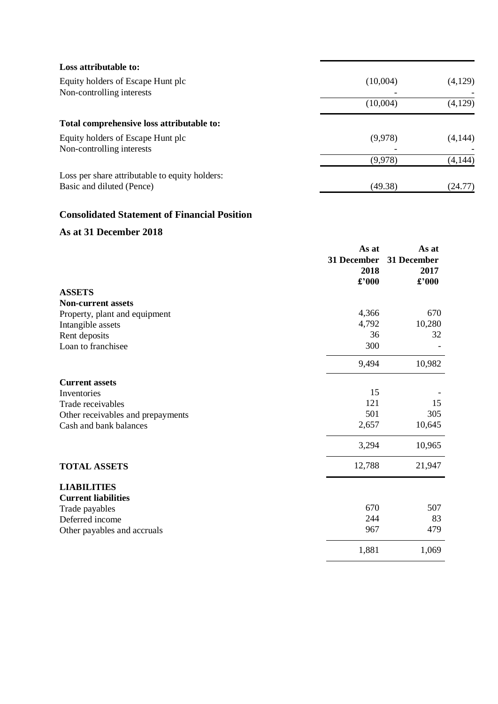| Loss attributable to:                          |          |          |
|------------------------------------------------|----------|----------|
| Equity holders of Escape Hunt plc              | (10,004) | (4,129)  |
| Non-controlling interests                      |          |          |
|                                                | (10,004) | (4,129)  |
| Total comprehensive loss attributable to:      |          |          |
| Equity holders of Escape Hunt plc              | (9,978)  | (4,144)  |
| Non-controlling interests                      |          |          |
|                                                | (9,978)  | (4, 144) |
| Loss per share attributable to equity holders: |          |          |
| Basic and diluted (Pence)                      | (49.38)  | (24.77)  |

# **Consolidated Statement of Financial Position**

# **As at 31 December 2018**

|                                   | As at<br>31 December<br>2018<br>£'000 | As at<br><b>31 December</b><br>2017<br>£'000 |
|-----------------------------------|---------------------------------------|----------------------------------------------|
| <b>ASSETS</b>                     |                                       |                                              |
| <b>Non-current assets</b>         |                                       |                                              |
| Property, plant and equipment     | 4,366                                 | 670                                          |
| Intangible assets                 | 4,792                                 | 10,280                                       |
| Rent deposits                     | 36                                    | 32                                           |
| Loan to franchisee                | 300                                   |                                              |
|                                   | 9,494                                 | 10,982                                       |
| <b>Current assets</b>             |                                       |                                              |
| Inventories                       | 15                                    |                                              |
| Trade receivables                 | 121                                   | 15                                           |
| Other receivables and prepayments | 501                                   | 305                                          |
| Cash and bank balances            | 2,657                                 | 10,645                                       |
|                                   | 3,294                                 | 10,965                                       |
| <b>TOTAL ASSETS</b>               | 12,788                                | 21,947                                       |
| <b>LIABILITIES</b>                |                                       |                                              |
| <b>Current liabilities</b>        |                                       |                                              |
| Trade payables                    | 670                                   | 507                                          |
| Deferred income                   | 244                                   | 83                                           |
| Other payables and accruals       | 967                                   | 479                                          |
|                                   | 1,881                                 | 1,069                                        |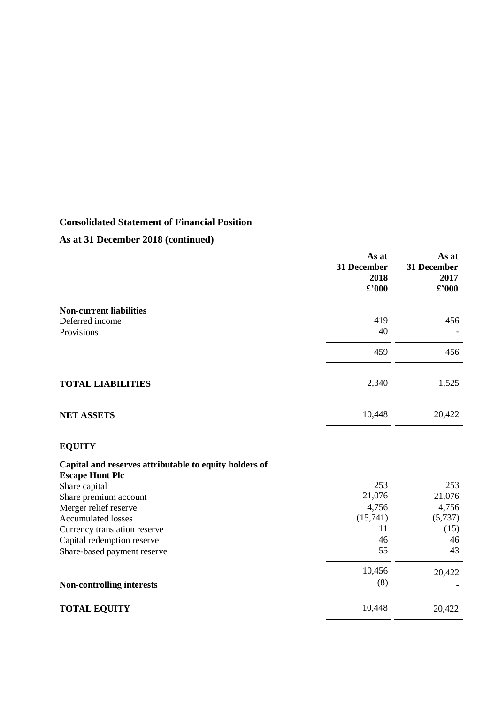# **Consolidated Statement of Financial Position**

# **As at 31 December 2018 (continued)**

|                                                                                  | As at<br>31 December<br>2018<br>$\pounds$ '000 | As at<br>31 December<br>2017<br>$\pounds$ '000 |
|----------------------------------------------------------------------------------|------------------------------------------------|------------------------------------------------|
| <b>Non-current liabilities</b>                                                   |                                                |                                                |
| Deferred income<br>Provisions                                                    | 419<br>40                                      | 456                                            |
|                                                                                  | 459                                            | 456                                            |
| <b>TOTAL LIABILITIES</b>                                                         | 2,340                                          | 1,525                                          |
| <b>NET ASSETS</b>                                                                | 10,448                                         | 20,422                                         |
| <b>EQUITY</b>                                                                    |                                                |                                                |
| Capital and reserves attributable to equity holders of<br><b>Escape Hunt Plc</b> |                                                |                                                |
| Share capital                                                                    | 253                                            | 253                                            |
| Share premium account                                                            | 21,076                                         | 21,076                                         |
| Merger relief reserve                                                            | 4,756                                          | 4,756                                          |
| <b>Accumulated losses</b>                                                        | (15,741)                                       | (5,737)                                        |
| Currency translation reserve                                                     | 11                                             | (15)                                           |
| Capital redemption reserve                                                       | 46                                             | 46                                             |
| Share-based payment reserve                                                      | 55                                             | 43                                             |
|                                                                                  | 10,456                                         | 20,422                                         |
| <b>Non-controlling interests</b>                                                 | (8)                                            |                                                |
| <b>TOTAL EQUITY</b>                                                              | 10,448                                         | 20,422                                         |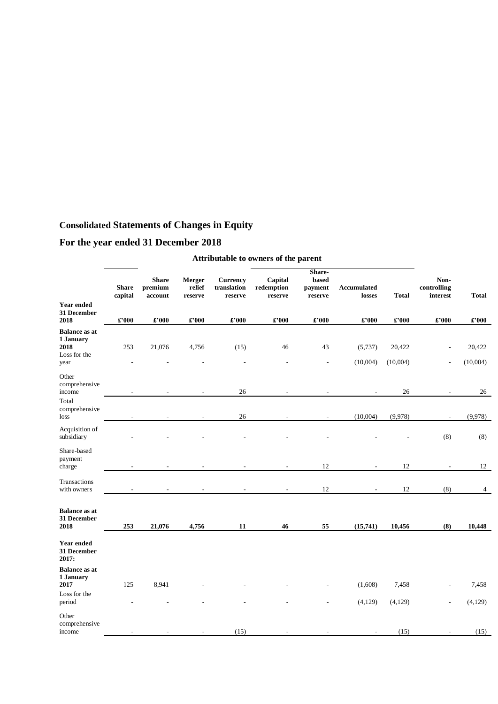# **Consolidated Statements of Changes in Equity**

# **For the year ended 31 December 2018**

|                                                                   | <b>Share</b><br>capital | <b>Share</b><br>premium<br>account | Merger<br>relief<br>reserve | <b>Currency</b><br>translation<br>reserve | Capital<br>redemption<br>reserve | Share-<br>based<br>payment<br>reserve | <b>Accumulated</b><br>losses | <b>Total</b>               | Non-<br>controlling<br>interest | <b>Total</b>               |
|-------------------------------------------------------------------|-------------------------|------------------------------------|-----------------------------|-------------------------------------------|----------------------------------|---------------------------------------|------------------------------|----------------------------|---------------------------------|----------------------------|
| <b>Year ended</b><br>31 December<br>2018                          | £'000                   | $\pmb{\pounds}^{\star}000$         | $\pmb{\pounds}^{\star}000$  | $\pmb{\pounds}^{\star}000$                | $\pmb{\pounds}^{\star}000$       | £'000                                 | £'000                        | $\pmb{\pounds}^{\star}000$ | $\pmb{\pounds}^{\star}000$      | $\pmb{\pounds}^{\star}000$ |
| <b>Balance as at</b><br>1 January<br>2018<br>Loss for the<br>year | 253                     | 21,076                             | 4,756                       | (15)                                      | 46                               | 43                                    | (5,737)<br>(10,004)          | 20,422<br>(10,004)         |                                 | 20,422<br>(10,004)         |
| Other<br>comprehensive<br>income<br>Total<br>comprehensive        |                         |                                    |                             | 26                                        |                                  |                                       |                              | 26                         |                                 | 26                         |
| loss<br>Acquisition of                                            |                         |                                    |                             | 26                                        |                                  |                                       | (10,004)                     | (9,978)                    |                                 | (9,978)                    |
| subsidiary<br>Share-based<br>payment<br>charge                    |                         |                                    |                             |                                           | L,                               | 12                                    | $\overline{a}$               | $12\,$                     | (8)                             | (8)<br>12                  |
| Transactions<br>with owners                                       |                         |                                    |                             |                                           |                                  | 12                                    |                              | 12                         | (8)                             | 4                          |
| <b>Balance as at</b><br>31 December<br>2018                       | 253                     | 21,076                             | 4,756                       | 11                                        | 46                               | 55                                    | (15,741)                     | 10,456                     | (8)                             | 10,448                     |
| <b>Year ended</b><br>31 December<br>2017:                         |                         |                                    |                             |                                           |                                  |                                       |                              |                            |                                 |                            |
| <b>Balance as at</b><br>1 January<br>2017<br>Loss for the         | 125                     | 8,941                              |                             |                                           |                                  |                                       | (1,608)                      | 7,458                      |                                 | 7,458                      |
| period<br>Other<br>comprehensive<br>income                        |                         |                                    |                             | (15)                                      |                                  |                                       | (4, 129)                     | (4,129)<br>(15)            |                                 | (4, 129)<br>(15)           |

# **Attributable to owners of the parent**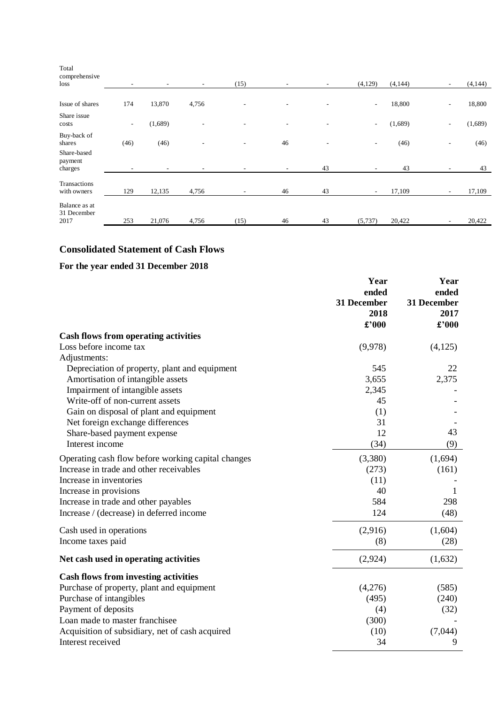| Total<br>comprehensive<br>loss       |        |                          | ٠                        | (15) |    | ۰. | (4,129)                  | (4,144) |                              | (4,144) |
|--------------------------------------|--------|--------------------------|--------------------------|------|----|----|--------------------------|---------|------------------------------|---------|
| Issue of shares                      | 174    | 13,870                   | 4,756                    | ٠    |    |    | $\sim$                   | 18,800  | $\overline{\phantom{a}}$     | 18,800  |
| Share issue<br>costs                 | $\sim$ | (1,689)                  |                          | ٠    | ۰  | ۰  | $\sim$                   | (1,689) | ٠                            | (1,689) |
| Buy-back of<br>shares                | (46)   | (46)                     | $\overline{\phantom{a}}$ | ۰    | 46 | ٠  | ۰.                       | (46)    | $\qquad \qquad \blacksquare$ | (46)    |
| Share-based<br>payment<br>charges    |        | $\overline{\phantom{a}}$ | ٠                        | ٠    | ٠  | 43 |                          | 43      | ٠                            | 43      |
| Transactions<br>with owners          | 129    | 12,135                   | 4,756                    | ٠    | 46 | 43 | $\overline{\phantom{a}}$ | 17,109  |                              | 17,109  |
| Balance as at<br>31 December<br>2017 | 253    | 21,076                   | 4,756                    | (15) | 46 | 43 | (5,737)                  | 20,422  |                              | 20,422  |

# **Consolidated Statement of Cash Flows**

# **For the year ended 31 December 2018**

|                                                    | Year        | Year        |
|----------------------------------------------------|-------------|-------------|
|                                                    | ended       | ended       |
|                                                    | 31 December | 31 December |
|                                                    | 2018        | 2017        |
|                                                    | £'000       | £'000       |
| <b>Cash flows from operating activities</b>        |             |             |
| Loss before income tax                             | (9,978)     | (4,125)     |
| Adjustments:                                       |             |             |
| Depreciation of property, plant and equipment      | 545         | 22          |
| Amortisation of intangible assets                  | 3,655       | 2,375       |
| Impairment of intangible assets                    | 2,345       |             |
| Write-off of non-current assets                    | 45          |             |
| Gain on disposal of plant and equipment            | (1)         |             |
| Net foreign exchange differences                   | 31          |             |
| Share-based payment expense                        | 12          | 43          |
| Interest income                                    | (34)        | (9)         |
| Operating cash flow before working capital changes | (3,380)     | (1,694)     |
| Increase in trade and other receivables            | (273)       | (161)       |
| Increase in inventories                            | (11)        |             |
| Increase in provisions                             | 40          | 1           |
| Increase in trade and other payables               | 584         | 298         |
| Increase / (decrease) in deferred income           | 124         | (48)        |
| Cash used in operations                            | (2,916)     | (1,604)     |
| Income taxes paid                                  | (8)         | (28)        |
| Net cash used in operating activities              | (2,924)     | (1,632)     |
| <b>Cash flows from investing activities</b>        |             |             |
| Purchase of property, plant and equipment          | (4,276)     | (585)       |
| Purchase of intangibles                            | (495)       | (240)       |
| Payment of deposits                                | (4)         | (32)        |
| Loan made to master franchisee                     | (300)       |             |
| Acquisition of subsidiary, net of cash acquired    | (10)        | (7,044)     |
| Interest received                                  | 34          | 9           |
|                                                    |             |             |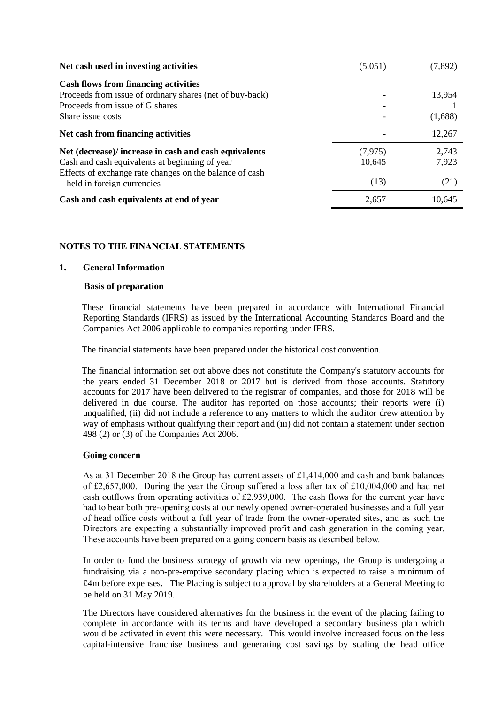| Net cash used in investing activities                                                 | (5,051)  | (7,892) |
|---------------------------------------------------------------------------------------|----------|---------|
| <b>Cash flows from financing activities</b>                                           |          |         |
| Proceeds from issue of ordinary shares (net of buy-back)                              |          | 13,954  |
| Proceeds from issue of G shares                                                       |          |         |
| Share issue costs                                                                     |          | (1,688) |
| Net cash from financing activities                                                    |          | 12,267  |
| Net (decrease)/ increase in cash and cash equivalents                                 | (7, 975) | 2,743   |
| Cash and cash equivalents at beginning of year                                        | 10,645   | 7,923   |
| Effects of exchange rate changes on the balance of cash<br>held in foreign currencies | (13)     | (21)    |
| Cash and cash equivalents at end of year                                              | 2,657    | 10,645  |

### **NOTES TO THE FINANCIAL STATEMENTS**

### **1. General Information**

### **Basis of preparation**

 These financial statements have been prepared in accordance with International Financial Reporting Standards (IFRS) as issued by the International Accounting Standards Board and the Companies Act 2006 applicable to companies reporting under IFRS.

The financial statements have been prepared under the historical cost convention.

 The financial information set out above does not constitute the Company's statutory accounts for the years ended 31 December 2018 or 2017 but is derived from those accounts. Statutory accounts for 2017 have been delivered to the registrar of companies, and those for 2018 will be delivered in due course. The auditor has reported on those accounts; their reports were (i) unqualified, (ii) did not include a reference to any matters to which the auditor drew attention by way of emphasis without qualifying their report and (iii) did not contain a statement under section 498 (2) or (3) of the Companies Act 2006.

### **Going concern**

As at 31 December 2018 the Group has current assets of £1,414,000 and cash and bank balances of £2,657,000. During the year the Group suffered a loss after tax of £10,004,000 and had net cash outflows from operating activities of £2,939,000. The cash flows for the current year have had to bear both pre-opening costs at our newly opened owner-operated businesses and a full year of head office costs without a full year of trade from the owner-operated sites, and as such the Directors are expecting a substantially improved profit and cash generation in the coming year. These accounts have been prepared on a going concern basis as described below.

In order to fund the business strategy of growth via new openings, the Group is undergoing a fundraising via a non-pre-emptive secondary placing which is expected to raise a minimum of £4m before expenses. The Placing is subject to approval by shareholders at a General Meeting to be held on 31 May 2019.

The Directors have considered alternatives for the business in the event of the placing failing to complete in accordance with its terms and have developed a secondary business plan which would be activated in event this were necessary. This would involve increased focus on the less capital-intensive franchise business and generating cost savings by scaling the head office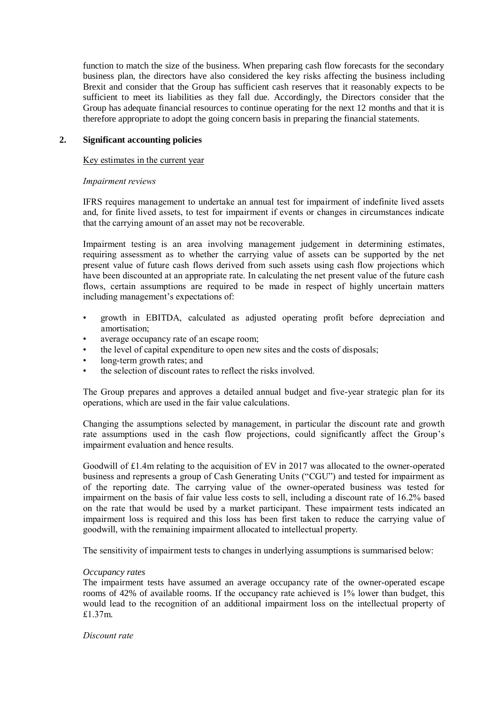function to match the size of the business. When preparing cash flow forecasts for the secondary business plan, the directors have also considered the key risks affecting the business including Brexit and consider that the Group has sufficient cash reserves that it reasonably expects to be sufficient to meet its liabilities as they fall due. Accordingly, the Directors consider that the Group has adequate financial resources to continue operating for the next 12 months and that it is therefore appropriate to adopt the going concern basis in preparing the financial statements.

### **2. Significant accounting policies**

### Key estimates in the current year

### *Impairment reviews*

IFRS requires management to undertake an annual test for impairment of indefinite lived assets and, for finite lived assets, to test for impairment if events or changes in circumstances indicate that the carrying amount of an asset may not be recoverable.

Impairment testing is an area involving management judgement in determining estimates, requiring assessment as to whether the carrying value of assets can be supported by the net present value of future cash flows derived from such assets using cash flow projections which have been discounted at an appropriate rate. In calculating the net present value of the future cash flows, certain assumptions are required to be made in respect of highly uncertain matters including management's expectations of:

- growth in EBITDA, calculated as adjusted operating profit before depreciation and amortisation;
- average occupancy rate of an escape room;
- the level of capital expenditure to open new sites and the costs of disposals;
- long-term growth rates; and
- the selection of discount rates to reflect the risks involved.

The Group prepares and approves a detailed annual budget and five-year strategic plan for its operations, which are used in the fair value calculations.

Changing the assumptions selected by management, in particular the discount rate and growth rate assumptions used in the cash flow projections, could significantly affect the Group's impairment evaluation and hence results.

Goodwill of £1.4m relating to the acquisition of EV in 2017 was allocated to the owner-operated business and represents a group of Cash Generating Units ("CGU") and tested for impairment as of the reporting date. The carrying value of the owner-operated business was tested for impairment on the basis of fair value less costs to sell, including a discount rate of 16.2% based on the rate that would be used by a market participant. These impairment tests indicated an impairment loss is required and this loss has been first taken to reduce the carrying value of goodwill, with the remaining impairment allocated to intellectual property.

The sensitivity of impairment tests to changes in underlying assumptions is summarised below:

### *Occupancy rates*

The impairment tests have assumed an average occupancy rate of the owner-operated escape rooms of 42% of available rooms. If the occupancy rate achieved is 1% lower than budget, this would lead to the recognition of an additional impairment loss on the intellectual property of £1.37m.

#### *Discount rate*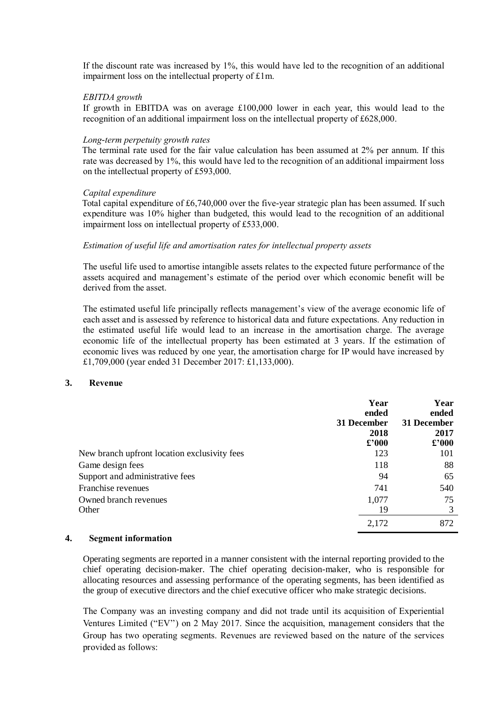If the discount rate was increased by  $1\%$ , this would have led to the recognition of an additional impairment loss on the intellectual property of £1m.

#### *EBITDA growth*

If growth in EBITDA was on average £100,000 lower in each year, this would lead to the recognition of an additional impairment loss on the intellectual property of £628,000.

#### *Long-term perpetuity growth rates*

 The terminal rate used for the fair value calculation has been assumed at 2% per annum. If this rate was decreased by 1%, this would have led to the recognition of an additional impairment loss on the intellectual property of £593,000.

#### *Capital expenditure*

 Total capital expenditure of £6,740,000 over the five-year strategic plan has been assumed. If such expenditure was 10% higher than budgeted, this would lead to the recognition of an additional impairment loss on intellectual property of £533,000.

### *Estimation of useful life and amortisation rates for intellectual property assets*

The useful life used to amortise intangible assets relates to the expected future performance of the assets acquired and management's estimate of the period over which economic benefit will be derived from the asset.

The estimated useful life principally reflects management's view of the average economic life of each asset and is assessed by reference to historical data and future expectations. Any reduction in the estimated useful life would lead to an increase in the amortisation charge. The average economic life of the intellectual property has been estimated at 3 years. If the estimation of economic lives was reduced by one year, the amortisation charge for IP would have increased by £1,709,000 (year ended 31 December 2017: £1,133,000).

### **3. Revenue**

|                                              | Year<br>ended<br>31 December<br>2018<br>$\pounds$ '000 | Year<br>ended<br>31 December<br>2017<br>$\pounds$ '000 |
|----------------------------------------------|--------------------------------------------------------|--------------------------------------------------------|
| New branch upfront location exclusivity fees | 123                                                    | 101                                                    |
| Game design fees                             | 118                                                    | 88                                                     |
| Support and administrative fees              | 94                                                     | 65                                                     |
| Franchise revenues                           | 741                                                    | 540                                                    |
| Owned branch revenues                        | 1,077                                                  | 75                                                     |
| Other                                        | 19                                                     | 3                                                      |
|                                              | 2,172                                                  | 872                                                    |

### **4. Segment information**

Operating segments are reported in a manner consistent with the internal reporting provided to the chief operating decision-maker. The chief operating decision-maker, who is responsible for allocating resources and assessing performance of the operating segments, has been identified as the group of executive directors and the chief executive officer who make strategic decisions.

The Company was an investing company and did not trade until its acquisition of Experiential Ventures Limited ("EV'') on 2 May 2017. Since the acquisition, management considers that the Group has two operating segments. Revenues are reviewed based on the nature of the services provided as follows: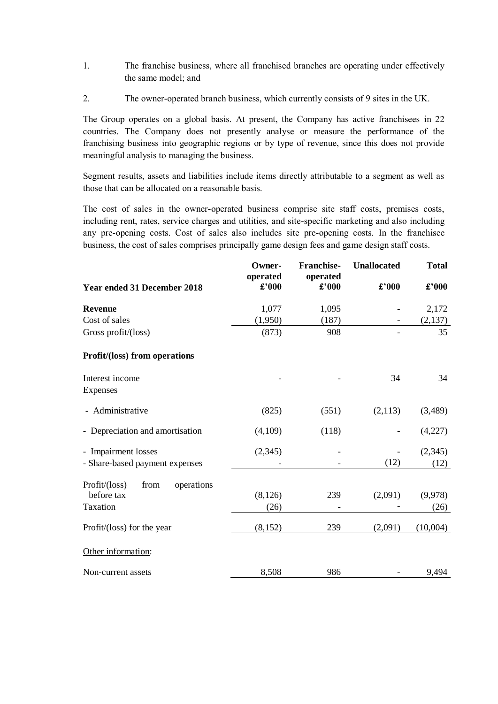- 1. The franchise business, where all franchised branches are operating under effectively the same model; and
- 2. The owner-operated branch business, which currently consists of 9 sites in the UK.

The Group operates on a global basis. At present, the Company has active franchisees in 22 countries. The Company does not presently analyse or measure the performance of the franchising business into geographic regions or by type of revenue, since this does not provide meaningful analysis to managing the business.

Segment results, assets and liabilities include items directly attributable to a segment as well as those that can be allocated on a reasonable basis.

The cost of sales in the owner-operated business comprise site staff costs, premises costs, including rent, rates, service charges and utilities, and site-specific marketing and also including any pre-opening costs. Cost of sales also includes site pre-opening costs. In the franchisee business, the cost of sales comprises principally game design fees and game design staff costs.

|                                     | Owner-<br>operated | <b>Franchise-</b><br>operated     | <b>Unallocated</b> | <b>Total</b>   |
|-------------------------------------|--------------------|-----------------------------------|--------------------|----------------|
| <b>Year ended 31 December 2018</b>  | $\pounds$ '000     | $\pmb{\pounds}^{\pmb{\cdot}} 000$ | £'000              | $\pounds$ '000 |
| <b>Revenue</b>                      | 1,077              | 1,095                             |                    | 2,172          |
| Cost of sales                       | (1,950)            | (187)                             |                    | (2,137)        |
| Gross profit/(loss)                 | (873)              | 908                               |                    | 35             |
| Profit/(loss) from operations       |                    |                                   |                    |                |
| Interest income                     |                    |                                   | 34                 | 34             |
| Expenses                            |                    |                                   |                    |                |
| - Administrative                    | (825)              | (551)                             | (2,113)            | (3,489)        |
| - Depreciation and amortisation     | (4,109)            | (118)                             |                    | (4,227)        |
| - Impairment losses                 | (2,345)            |                                   |                    | (2, 345)       |
| - Share-based payment expenses      |                    |                                   | (12)               | (12)           |
| Profit/(loss)<br>from<br>operations |                    |                                   |                    |                |
| before tax                          | (8,126)            | 239                               | (2,091)            | (9,978)        |
| Taxation                            | (26)               |                                   |                    | (26)           |
| Profit/(loss) for the year          | (8,152)            | 239                               | (2,091)            | (10,004)       |
| Other information:                  |                    |                                   |                    |                |
| Non-current assets                  | 8,508              | 986                               |                    | 9,494          |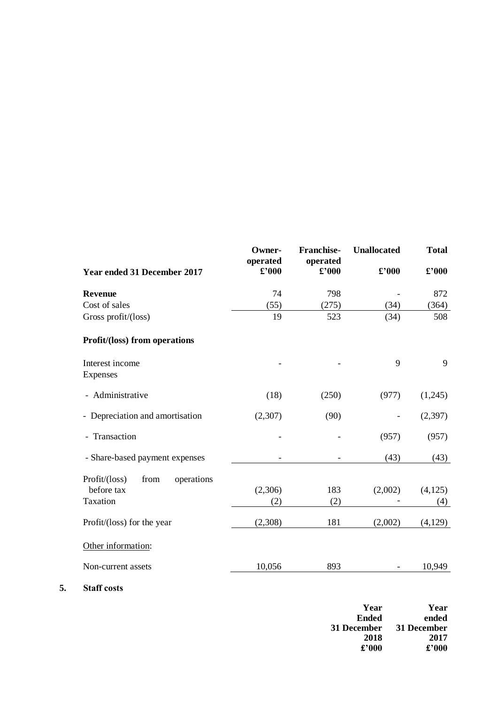|                                            | Owner-<br>operated | <b>Franchise-</b><br>operated | <b>Unallocated</b> | <b>Total</b>   |
|--------------------------------------------|--------------------|-------------------------------|--------------------|----------------|
| <b>Year ended 31 December 2017</b>         | $\pounds$ '000     | $\pounds$ '000                | $\pounds$ '000     | $\pounds$ '000 |
| <b>Revenue</b>                             | 74                 | 798                           |                    | 872            |
| Cost of sales                              | (55)               | (275)                         | (34)               | (364)          |
| Gross profit/(loss)                        | 19                 | 523                           | (34)               | 508            |
| Profit/(loss) from operations              |                    |                               |                    |                |
| Interest income<br>Expenses                |                    |                               | 9                  | 9              |
| Administrative<br>$\overline{\phantom{a}}$ | (18)               | (250)                         | (977)              | (1,245)        |
| - Depreciation and amortisation            | (2,307)            | (90)                          | $\qquad \qquad -$  | (2,397)        |
| - Transaction                              |                    |                               | (957)              | (957)          |
| - Share-based payment expenses             |                    |                               | (43)               | (43)           |
| Profit/(loss)<br>operations<br>from        |                    |                               |                    |                |
| before tax                                 | (2,306)            | 183                           | (2,002)            | (4,125)        |
| Taxation                                   | (2)                | (2)                           |                    | (4)            |
| Profit/(loss) for the year                 | (2,308)            | 181                           | (2,002)            | (4,129)        |
| Other information:                         |                    |                               |                    |                |
| Non-current assets                         | 10,056             | 893                           |                    | 10,949         |

**5. Staff costs**

| Year        | Year        |
|-------------|-------------|
| Ended       | ended       |
| 31 December | 31 December |
| 2018        | 2017        |
| £2000       | £2000       |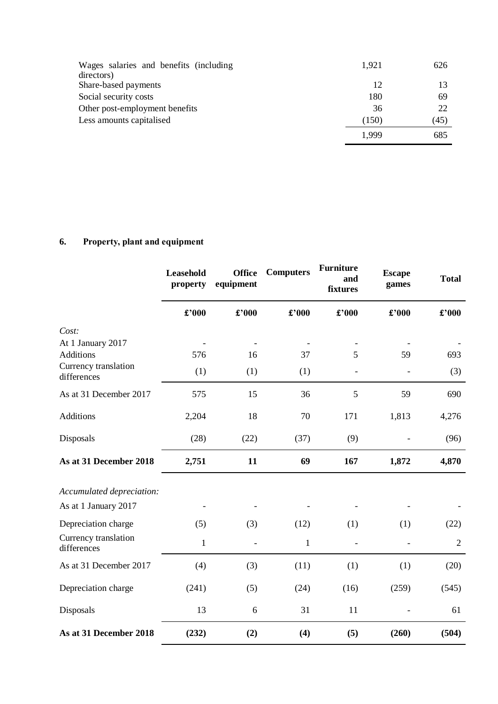| Wages salaries and benefits (including | 1.921 | 626  |
|----------------------------------------|-------|------|
| directors)                             |       |      |
| Share-based payments                   | 12    |      |
| Social security costs                  | 180   | 69   |
| Other post-employment benefits         | 36    | 22   |
| Less amounts capitalised               | (150) | (45) |
|                                        | 1.999 | 685  |

# **6. Property, plant and equipment**

|                                     | Leasehold<br>property | <b>Office</b><br>equipment | <b>Computers</b> | <b>Furniture</b><br>and<br>fixtures | <b>Escape</b><br>games | <b>Total</b>                 |
|-------------------------------------|-----------------------|----------------------------|------------------|-------------------------------------|------------------------|------------------------------|
|                                     | £'000                 | £'000                      | £'000            | £'000                               | £'000                  | $\pmb{\pounds}^{\bullet}000$ |
| Cost:<br>At 1 January 2017          |                       |                            |                  |                                     |                        |                              |
| <b>Additions</b>                    | 576                   | 16                         | 37               | 5                                   | 59                     | 693                          |
| Currency translation<br>differences | (1)                   | (1)                        | (1)              |                                     |                        | (3)                          |
| As at 31 December 2017              | 575                   | 15                         | 36               | 5                                   | 59                     | 690                          |
| <b>Additions</b>                    | 2,204                 | 18                         | 70               | 171                                 | 1,813                  | 4,276                        |
| Disposals                           | (28)                  | (22)                       | (37)             | (9)                                 |                        | (96)                         |
| As at 31 December 2018              | 2,751                 | 11                         | 69               | 167                                 | 1,872                  | 4,870                        |
| Accumulated depreciation:           |                       |                            |                  |                                     |                        |                              |
| As at 1 January 2017                |                       |                            |                  |                                     |                        |                              |
| Depreciation charge                 | (5)                   | (3)                        | (12)             | (1)                                 | (1)                    | (22)                         |
| Currency translation<br>differences | 1                     |                            | $\mathbf{1}$     |                                     |                        | $\overline{2}$               |
| As at 31 December 2017              | (4)                   | (3)                        | (11)             | (1)                                 | (1)                    | (20)                         |
| Depreciation charge                 | (241)                 | (5)                        | (24)             | (16)                                | (259)                  | (545)                        |
| Disposals                           | 13                    | 6                          | 31               | 11                                  |                        | 61                           |
| As at 31 December 2018              | (232)                 | (2)                        | (4)              | (5)                                 | (260)                  | (504)                        |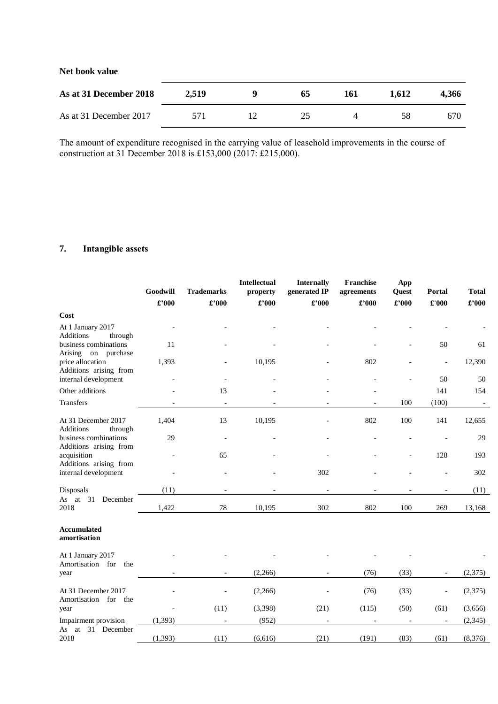**Net book value**

| As at 31 December 2018 | 2,519 | 65 | 161 | 1.612 | 4,366 |
|------------------------|-------|----|-----|-------|-------|
| As at 31 December 2017 | 57,   | つく |     | .58   | 670   |

The amount of expenditure recognised in the carrying value of leasehold improvements in the course of construction at 31 December 2018 is £153,000 (2017: £215,000).

# **7. Intangible assets**

|                                                 | Goodwill | <b>Trademarks</b>        | <b>Intellectual</b><br>property | <b>Internally</b><br>generated IP | Franchise<br>agreements | App<br><b>Quest</b> | Portal                   | <b>Total</b>             |
|-------------------------------------------------|----------|--------------------------|---------------------------------|-----------------------------------|-------------------------|---------------------|--------------------------|--------------------------|
|                                                 | £'000    | £'000                    | £'000                           | £'000                             | £'000                   | £'000               | £'000                    | £'000                    |
| Cost                                            |          |                          |                                 |                                   |                         |                     |                          |                          |
| At 1 January 2017<br>Additions<br>through       |          |                          |                                 |                                   |                         |                     |                          |                          |
| business combinations<br>Arising on purchase    | 11       |                          |                                 |                                   |                         |                     | 50                       | 61                       |
| price allocation<br>Additions arising from      | 1,393    |                          | 10,195                          |                                   | 802                     |                     | $\overline{\phantom{a}}$ | 12,390                   |
| internal development                            |          |                          |                                 |                                   |                         |                     | 50                       | 50                       |
| Other additions                                 |          | 13                       |                                 |                                   |                         |                     | 141                      | 154                      |
| <b>Transfers</b>                                |          | $\overline{\phantom{a}}$ |                                 |                                   |                         | 100                 | (100)                    | $\overline{\phantom{a}}$ |
| At 31 December 2017<br>Additions<br>through     | 1,404    | 13                       | 10,195                          |                                   | 802                     | 100                 | 141                      | 12,655                   |
| business combinations<br>Additions arising from | 29       | ÷,                       |                                 |                                   |                         |                     |                          | 29                       |
| acquisition<br>Additions arising from           |          | 65                       |                                 |                                   |                         |                     | 128                      | 193                      |
| internal development                            |          |                          |                                 | 302                               |                         |                     |                          | 302                      |
| Disposals                                       | (11)     |                          |                                 |                                   |                         |                     |                          | (11)                     |
| As at 31<br>December<br>2018                    | 1,422    | 78                       | 10,195                          | 302                               | 802                     | 100                 | 269                      | 13,168                   |
| <b>Accumulated</b><br>amortisation              |          |                          |                                 |                                   |                         |                     |                          |                          |
| At 1 January 2017<br>Amortisation for<br>the    |          |                          |                                 |                                   |                         |                     |                          |                          |
| year                                            |          |                          | (2,266)                         |                                   | (76)                    | (33)                |                          | (2,375)                  |
| At 31 December 2017<br>Amortisation for the     |          |                          | (2,266)                         |                                   | (76)                    | (33)                |                          | (2,375)                  |
| year                                            |          | (11)                     | (3, 398)                        | (21)                              | (115)                   | (50)                | (61)                     | (3,656)                  |
| Impairment provision                            | (1, 393) |                          | (952)                           |                                   |                         |                     |                          | (2, 345)                 |
| As at 31 December<br>2018                       | (1, 393) | (11)                     | (6,616)                         | (21)                              | (191)                   | (83)                | (61)                     | (8,376)                  |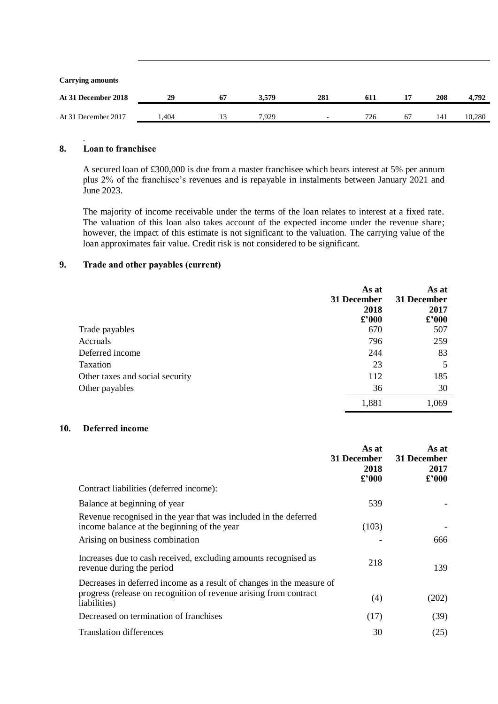| <b>Carrying amounts</b> |      |    |       |                          |     |    |     |        |
|-------------------------|------|----|-------|--------------------------|-----|----|-----|--------|
| At 31 December 2018     | 29   | 67 | 3.579 | 281                      | 611 |    | 208 | 4.792  |
| At 31 December 2017     | .404 | 13 | 7.929 | $\overline{\phantom{0}}$ | 726 | 67 | 14! | 10,280 |

### **8. Loan to franchisee**

.

A secured loan of £300,000 is due from a master franchisee which bears interest at 5% per annum plus 2% of the franchisee's revenues and is repayable in instalments between January 2021 and June 2023.

The majority of income receivable under the terms of the loan relates to interest at a fixed rate. The valuation of this loan also takes account of the expected income under the revenue share; however, the impact of this estimate is not significant to the valuation. The carrying value of the loan approximates fair value. Credit risk is not considered to be significant.

### **9. Trade and other payables (current)**

|                                 | As at<br>31 December<br>2018<br>$\pounds$ '000 | As at<br>31 December<br>2017<br>$\pounds$ '000 |
|---------------------------------|------------------------------------------------|------------------------------------------------|
| Trade payables                  | 670                                            | 507                                            |
| Accruals                        | 796                                            | 259                                            |
| Deferred income                 | 244                                            | 83                                             |
| Taxation                        | 23                                             | 5                                              |
| Other taxes and social security | 112                                            | 185                                            |
| Other payables                  | 36                                             | 30                                             |
|                                 | 1,881                                          | 1,069                                          |

#### **10. Deferred income**

|                                                                                                                                                            | As at<br>31 December<br>2018<br>$\pmb{\pounds}^{\pmb{\cdot}} 000$ | As at<br>31 December<br>2017<br>$\pounds 000$ |
|------------------------------------------------------------------------------------------------------------------------------------------------------------|-------------------------------------------------------------------|-----------------------------------------------|
| Contract liabilities (deferred income):                                                                                                                    |                                                                   |                                               |
| Balance at beginning of year                                                                                                                               | 539                                                               |                                               |
| Revenue recognised in the year that was included in the deferred<br>income balance at the beginning of the year<br>Arising on business combination         | (103)                                                             | 666                                           |
| Increases due to cash received, excluding amounts recognised as<br>revenue during the period                                                               | 218                                                               | 139                                           |
| Decreases in deferred income as a result of changes in the measure of<br>progress (release on recognition of revenue arising from contract<br>liabilities) | (4)                                                               | (202)                                         |
| Decreased on termination of franchises                                                                                                                     | (17)                                                              | (39)                                          |
| <b>Translation differences</b>                                                                                                                             | 30                                                                | (25)                                          |